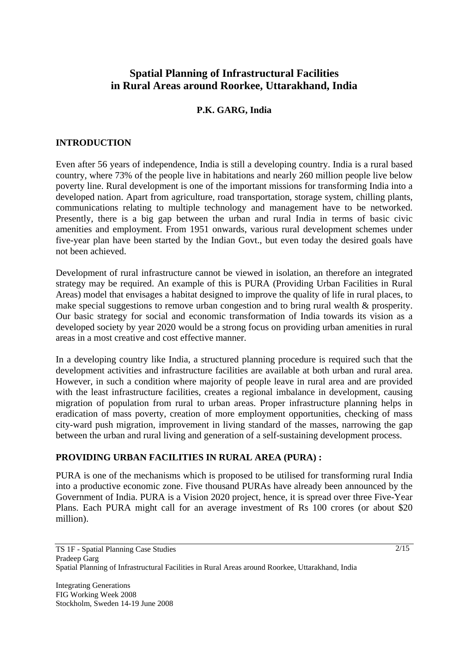# **Spatial Planning of Infrastructural Facilities in Rural Areas around Roorkee, Uttarakhand, India**

# **P.K. GARG, India**

### **INTRODUCTION**

Even after 56 years of independence, India is still a developing country. India is a rural based country, where 73% of the people live in habitations and nearly 260 million people live below poverty line. Rural development is one of the important missions for transforming India into a developed nation. Apart from agriculture, road transportation, storage system, chilling plants, communications relating to multiple technology and management have to be networked. Presently, there is a big gap between the urban and rural India in terms of basic civic amenities and employment. From 1951 onwards, various rural development schemes under five-year plan have been started by the Indian Govt., but even today the desired goals have not been achieved.

Development of rural infrastructure cannot be viewed in isolation, an therefore an integrated strategy may be required. An example of this is PURA (Providing Urban Facilities in Rural Areas) model that envisages a habitat designed to improve the quality of life in rural places, to make special suggestions to remove urban congestion and to bring rural wealth & prosperity. Our basic strategy for social and economic transformation of India towards its vision as a developed society by year 2020 would be a strong focus on providing urban amenities in rural areas in a most creative and cost effective manner.

In a developing country like India, a structured planning procedure is required such that the development activities and infrastructure facilities are available at both urban and rural area. However, in such a condition where majority of people leave in rural area and are provided with the least infrastructure facilities, creates a regional imbalance in development, causing migration of population from rural to urban areas. Proper infrastructure planning helps in eradication of mass poverty, creation of more employment opportunities, checking of mass city-ward push migration, improvement in living standard of the masses, narrowing the gap between the urban and rural living and generation of a self-sustaining development process.

## **PROVIDING URBAN FACILITIES IN RURAL AREA (PURA) :**

PURA is one of the mechanisms which is proposed to be utilised for transforming rural India into a productive economic zone. Five thousand PURAs have already been announced by the Government of India. PURA is a Vision 2020 project, hence, it is spread over three Five-Year Plans. Each PURA might call for an average investment of Rs 100 crores (or about \$20 million).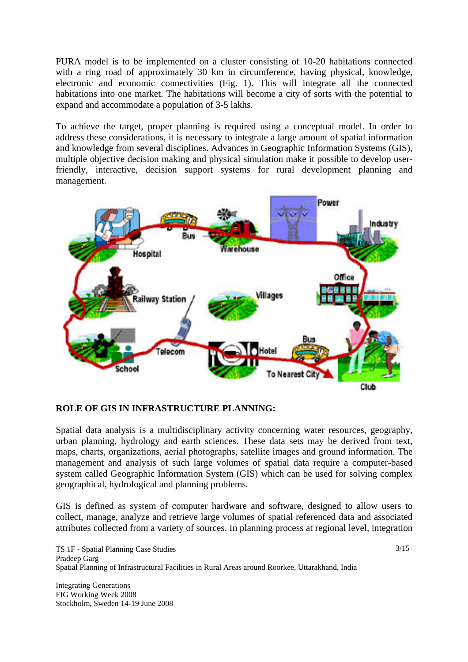PURA model is to be implemented on a cluster consisting of 10-20 habitations connected with a ring road of approximately 30 km in circumference, having physical, knowledge, electronic and economic connectivities (Fig. 1). This will integrate all the connected habitations into one market. The habitations will become a city of sorts with the potential to expand and accommodate a population of 3-5 lakhs.

To achieve the target, proper planning is required using a conceptual model. In order to address these considerations, it is necessary to integrate a large amount of spatial information and knowledge from several disciplines. Advances in Geographic Information Systems (GIS), multiple objective decision making and physical simulation make it possible to develop userfriendly, interactive, decision support systems for rural development planning and management.



### **ROLE OF GIS IN INFRASTRUCTURE PLANNING:**

Spatial data analysis is a multidisciplinary activity concerning water resources, geography, urban planning, hydrology and earth sciences. These data sets may be derived from text, maps, charts, organizations, aerial photographs, satellite images and ground information. The management and analysis of such large volumes of spatial data require a computer-based system called Geographic Information System (GIS) which can be used for solving complex geographical, hydrological and planning problems.

GIS is defined as system of computer hardware and software, designed to allow users to collect, manage, analyze and retrieve large volumes of spatial referenced data and associated attributes collected from a variety of sources. In planning process at regional level, integration

Integrating Generations FIG Working Week 2008 Stockholm, Sweden 14-19 June 2008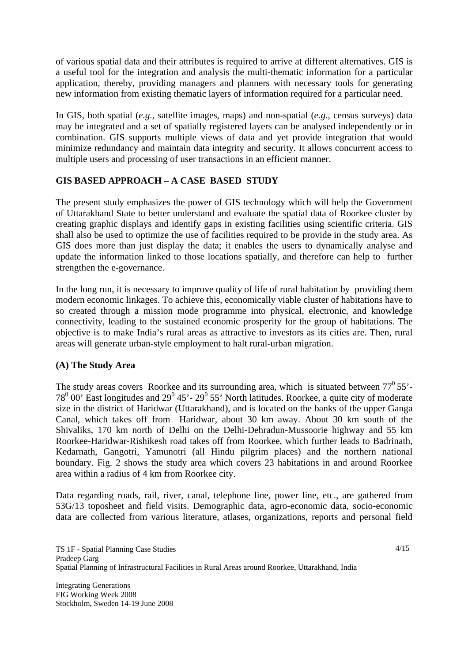of various spatial data and their attributes is required to arrive at different alternatives. GIS is a useful tool for the integration and analysis the multi-thematic information for a particular application, thereby, providing managers and planners with necessary tools for generating new information from existing thematic layers of information required for a particular need.

In GIS, both spatial (*e.g.*, satellite images, maps) and non-spatial (*e.g.*, census surveys) data may be integrated and a set of spatially registered layers can be analysed independently or in combination. GIS supports multiple views of data and yet provide integration that would minimize redundancy and maintain data integrity and security. It allows concurrent access to multiple users and processing of user transactions in an efficient manner.

# **GIS BASED APPROACH – A CASE BASED STUDY**

The present study emphasizes the power of GIS technology which will help the Government of Uttarakhand State to better understand and evaluate the spatial data of Roorkee cluster by creating graphic displays and identify gaps in existing facilities using scientific criteria. GIS shall also be used to optimize the use of facilities required to be provide in the study area. As GIS does more than just display the data; it enables the users to dynamically analyse and update the information linked to those locations spatially, and therefore can help to further strengthen the e-governance.

In the long run, it is necessary to improve quality of life of rural habitation by providing them modern economic linkages. To achieve this, economically viable cluster of habitations have to so created through a mission mode programme into physical, electronic, and knowledge connectivity, leading to the sustained economic prosperity for the group of habitations. The objective is to make India's rural areas as attractive to investors as its cities are. Then, rural areas will generate urban-style employment to halt rural-urban migration.

## **(A) The Study Area**

The study areas covers Roorkee and its surrounding area, which is situated between  $77^0$  55'- $78^{\circ}$  00' East longitudes and 29 $^{\circ}$  45'-29 $^{\circ}$  55' North latitudes. Roorkee, a quite city of moderate size in the district of Haridwar (Uttarakhand), and is located on the banks of the upper Ganga Canal, which takes off from Haridwar, about 30 km away. About 30 km south of the Shivaliks, 170 km north of Delhi on the Delhi-Dehradun-Mussoorie highway and 55 km Roorkee-Haridwar-Rishikesh road takes off from Roorkee, which further leads to Badrinath, Kedarnath, Gangotri, Yamunotri (all Hindu pilgrim places) and the northern national boundary. Fig. 2 shows the study area which covers 23 habitations in and around Roorkee area within a radius of 4 km from Roorkee city.

Data regarding roads, rail, river, canal, telephone line, power line, etc., are gathered from 53G/13 toposheet and field visits. Demographic data, agro-economic data, socio-economic data are collected from various literature, atlases, organizations, reports and personal field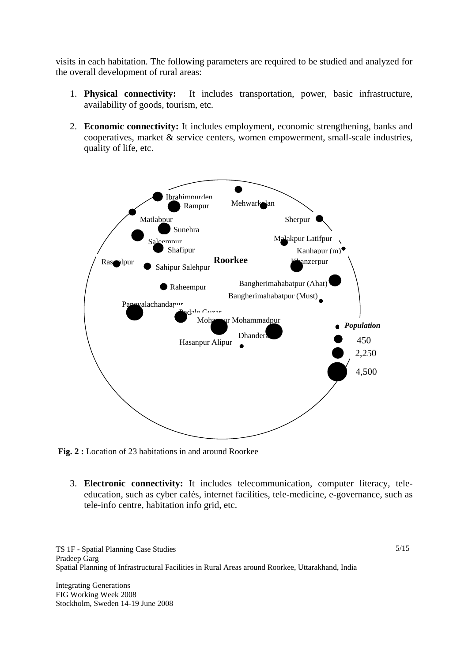visits in each habitation. The following parameters are required to be studied and analyzed for the overall development of rural areas:

- 1. **Physical connectivity:** It includes transportation, power, basic infrastructure, availability of goods, tourism, etc.
- 2. **Economic connectivity:** It includes employment, economic strengthening, banks and cooperatives, market & service centers, women empowerment, small-scale industries, quality of life, etc.



**Fig. 2 :** Location of 23 habitations in and around Roorkee

3. **Electronic connectivity:** It includes telecommunication, computer literacy, teleeducation, such as cyber cafés, internet facilities, tele-medicine, e-governance, such as tele-info centre, habitation info grid, etc.

Integrating Generations FIG Working Week 2008 Stockholm, Sweden 14-19 June 2008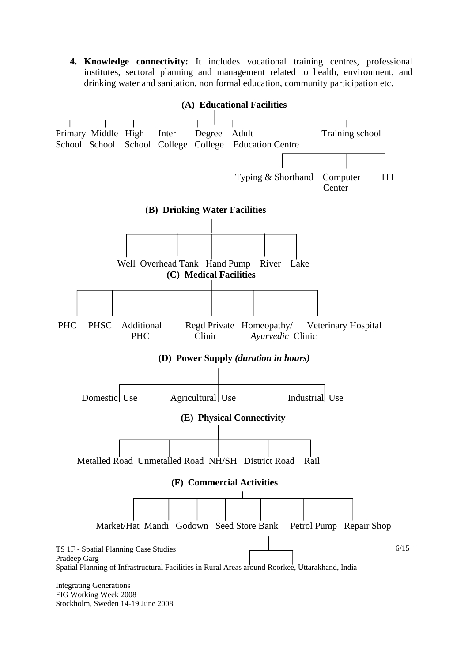**4. Knowledge connectivity:** It includes vocational training centres, professional institutes, sectoral planning and management related to health, environment, and drinking water and sanitation, non formal education, community participation etc.



Stockholm, Sweden 14-19 June 2008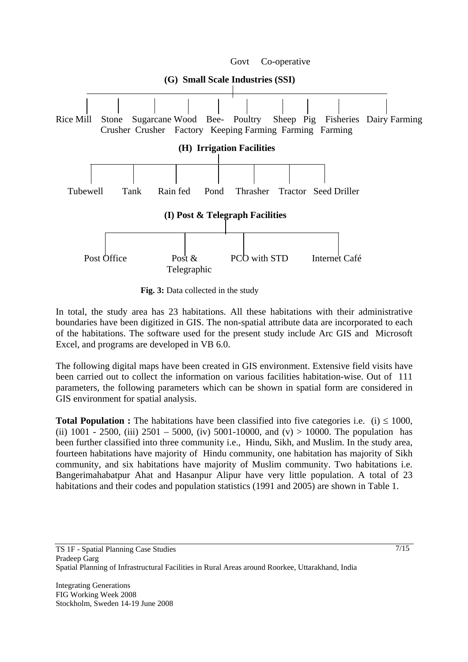

**Fig. 3:** Data collected in the study

In total, the study area has 23 habitations. All these habitations with their administrative boundaries have been digitized in GIS. The non-spatial attribute data are incorporated to each of the habitations. The software used for the present study include Arc GIS and Microsoft Excel, and programs are developed in VB 6.0.

The following digital maps have been created in GIS environment. Extensive field visits have been carried out to collect the information on various facilities habitation-wise. Out of 111 parameters, the following parameters which can be shown in spatial form are considered in GIS environment for spatial analysis.

**Total Population :** The habitations have been classified into five categories i.e. (i)  $\leq 1000$ , (ii) 1001 - 2500, (iii) 2501 - 5000, (iv) 5001-10000, and (v) > 10000. The population has been further classified into three community i.e., Hindu, Sikh, and Muslim. In the study area, fourteen habitations have majority of Hindu community, one habitation has majority of Sikh community, and six habitations have majority of Muslim community. Two habitations i.e. Bangerimahabatpur Ahat and Hasanpur Alipur have very little population. A total of 23 habitations and their codes and population statistics (1991 and 2005) are shown in Table 1.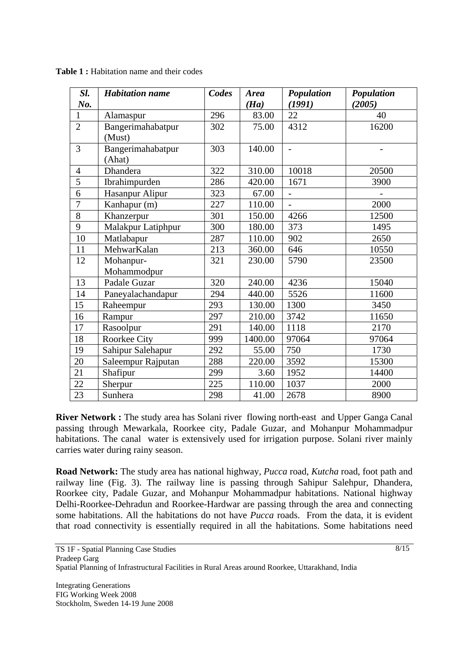| Sl.            | <b>Habitation</b> name | Codes | <b>Area</b> | Population     | Population |
|----------------|------------------------|-------|-------------|----------------|------------|
| No.            |                        |       | (Ha)        | (1991)         | (2005)     |
| 1              | Alamaspur              | 296   | 83.00       | 22             | 40         |
| $\overline{2}$ | Bangerimahabatpur      | 302   | 75.00       | 4312           | 16200      |
|                | (Must)                 |       |             |                |            |
| $\overline{3}$ | Bangerimahabatpur      | 303   | 140.00      | $\overline{a}$ |            |
|                | (Ahat)                 |       |             |                |            |
| $\overline{4}$ | Dhandera               | 322   | 310.00      | 10018          | 20500      |
| 5              | Ibrahimpurden          | 286   | 420.00      | 1671           | 3900       |
| 6              | Hasanpur Alipur        | 323   | 67.00       |                |            |
| $\overline{7}$ | Kanhapur (m)           | 227   | 110.00      | $\overline{a}$ | 2000       |
| 8              | Khanzerpur             | 301   | 150.00      | 4266           | 12500      |
| 9              | Malakpur Latiphpur     | 300   | 180.00      | 373            | 1495       |
| 10             | Matlabapur             | 287   | 110.00      | 902            | 2650       |
| 11             | MehwarKalan            | 213   | 360.00      | 646            | 10550      |
| 12             | Mohanpur-              | 321   | 230.00      | 5790           | 23500      |
|                | Mohammodpur            |       |             |                |            |
| 13             | Padale Guzar           | 320   | 240.00      | 4236           | 15040      |
| 14             | Paneyalachandapur      | 294   | 440.00      | 5526           | 11600      |
| 15             | Raheempur              | 293   | 130.00      | 1300           | 3450       |
| 16             | Rampur                 | 297   | 210.00      | 3742           | 11650      |
| 17             | Rasoolpur              | 291   | 140.00      | 1118           | 2170       |
| 18             | Roorkee City           | 999   | 1400.00     | 97064          | 97064      |
| 19             | Sahipur Salehapur      | 292   | 55.00       | 750            | 1730       |
| 20             | Saleempur Rajputan     | 288   | 220.00      | 3592           | 15300      |
| 21             | Shafipur               | 299   | 3.60        | 1952           | 14400      |
| 22             | Sherpur                | 225   | 110.00      | 1037           | 2000       |
| 23             | Sunhera                | 298   | 41.00       | 2678           | 8900       |

Table 1 : Habitation name and their codes

**River Network :** The study area has Solani river flowing north-east and Upper Ganga Canal passing through Mewarkala, Roorkee city, Padale Guzar, and Mohanpur Mohammadpur habitations. The canal water is extensively used for irrigation purpose. Solani river mainly carries water during rainy season.

**Road Network:** The study area has national highway, *Pucca* road, *Kutcha* road, foot path and railway line (Fig. 3). The railway line is passing through Sahipur Salehpur, Dhandera, Roorkee city, Padale Guzar, and Mohanpur Mohammadpur habitations. National highway Delhi-Roorkee-Dehradun and Roorkee-Hardwar are passing through the area and connecting some habitations. All the habitations do not have *Pucca* roads. From the data, it is evident that road connectivity is essentially required in all the habitations. Some habitations need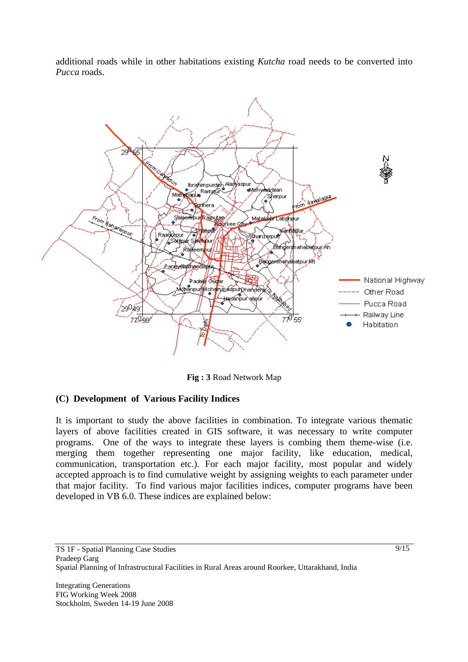additional roads while in other habitations existing *Kutcha* road needs to be converted into *Pucca* roads.



**Fig : 3** Road Network Map

## **(C) Development of Various Facility Indices**

It is important to study the above facilities in combination. To integrate various thematic layers of above facilities created in GIS software, it was necessary to write computer programs. One of the ways to integrate these layers is combing them theme-wise (i.e. merging them together representing one major facility, like education, medical, communication, transportation etc.). For each major facility, most popular and widely accepted approach is to find cumulative weight by assigning weights to each parameter under that major facility. To find various major facilities indices, computer programs have been developed in VB 6.0. These indices are explained below: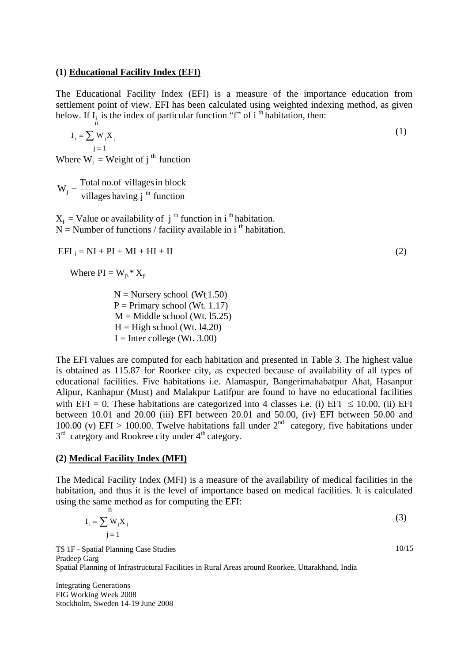#### **(1) Educational Facility Index (EFI)**

The Educational Facility Index (EFI) is a measure of the importance education from settlement point of view. EFI has been calculated using weighted indexing method, as given below. If  $I_i$  is the index of particular function "f" of i<sup>th</sup> habitation, then: n

$$
\mathbf{I}_{i} = \sum_{j=1}^{N} \mathbf{W}_{j} \mathbf{X}_{j} \tag{1}
$$

Where  $W_i$  = Weight of  $i^{th}$  function

 $W_j = \frac{\text{Total no. of villages in block}}{\text{vilages having } j^{\text{th}} \text{ function}}$ 

 $X_i$  = Value or availability of j<sup>th</sup> function in i<sup>th</sup> habitation.  $N =$  Number of functions / facility available in i<sup>th</sup> habitation.

 $EFI_i = NI + PI + MI + HI + II$  (2)

Where  $PI = W_p * X_p$ 

 $N =$  Nursery school (Wt 1.50)  $P = Primary school (Wt. 1.17)$  $M =$ Middle school (Wt. 15.25)  $H = High school (Wt. 14.20)$  $I =$  Inter college (Wt. 3.00)

The EFI values are computed for each habitation and presented in Table 3. The highest value is obtained as 115.87 for Roorkee city, as expected because of availability of all types of educational facilities. Five habitations i.e. Alamaspur, Bangerimahabatpur Ahat, Hasanpur Alipur, Kanhapur (Must) and Malakpur Latifpur are found to have no educational facilities with EFI = 0. These habitations are categorized into 4 classes i.e. (i) EFI  $\leq$  10.00, (ii) EFI between 10.01 and 20.00 (iii) EFI between 20.01 and 50.00, (iv) EFI between 50.00 and 100.00 (v) EFI > 100.00. Twelve habitations fall under  $2^{nd}$  category, five habitations under  $3<sup>rd</sup>$  category and Rookree city under  $4<sup>th</sup>$  category.

### **(2) Medical Facility Index (MFI)**

The Medical Facility Index (MFI) is a measure of the availability of medical facilities in the habitation, and thus it is the level of importance based on medical facilities. It is calculated using the same method as for computing the EFI: n

$$
I_i = \sum_j W_j X_j
$$
\n
$$
j = 1
$$
\n(3)

TS 1F - Spatial Planning Case Studies Pradeep Garg Spatial Planning of Infrastructural Facilities in Rural Areas around Roorkee, Uttarakhand, India

Integrating Generations FIG Working Week 2008 Stockholm, Sweden 14-19 June 2008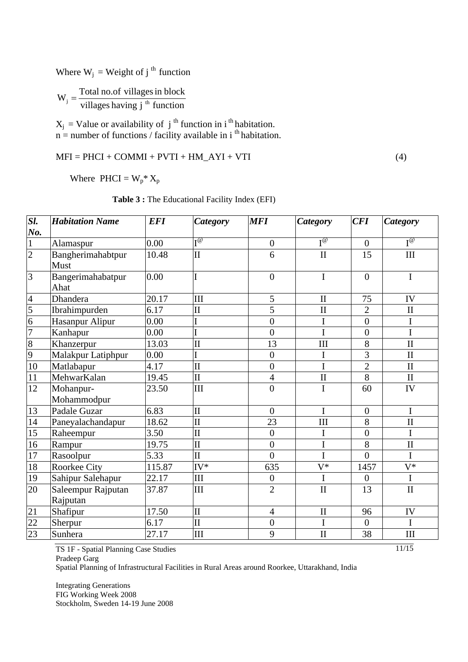Where  $W_j$  = Weight of j<sup>th</sup> function

 $W_j = \frac{\text{Total no. of villages in block}}{\text{villags having } j^{th} \text{ function}}$ 

 $X_j$  = Value or availability of j<sup>th</sup> function in i<sup>th</sup> habitation.  $n =$  number of functions / facility available in i<sup>th</sup> habitation.

$$
MFI = PHCI + COMMI + PVTI + HM\_AYI + VTI
$$
\n(4)

Where  $PHCI = W_p^* X_p$ 

| Sl.             | <b>Habitation Name</b>         | <b>EFI</b> | <b>Category</b>         | <b>MFI</b>       | <b>Category</b> | CFI              | <b>Category</b>     |
|-----------------|--------------------------------|------------|-------------------------|------------------|-----------------|------------------|---------------------|
| <u>No.</u>      |                                |            |                         |                  |                 |                  |                     |
| $\frac{1}{2}$   | Alamaspur                      | 0.00       | т@                      | $\boldsymbol{0}$ | $I^{\omega}$    | $\boldsymbol{0}$ | $I^{\oslash}$       |
|                 | Bangherimahabtpur<br>Must      | 10.48      | $\mathbf{I}$            | 6                | $\rm II$        | 15               | III                 |
| $\overline{3}$  | Bangerimahabatpur<br>Ahat      | 0.00       | I                       | $\overline{0}$   | $\bf I$         | $\theta$         | $\mathbf I$         |
| $\frac{4}{1}$   | Dhandera                       | 20.17      | III                     | 5                | $\mathbf{I}$    | 75               | IV                  |
| $\overline{5}$  | Ibrahimpurden                  | 6.17       | $\mathbf{I}$            | 5                | $\mathbf{I}$    | $\overline{2}$   | $\mathbf{I}$        |
| $\frac{6}{7}$   | Hasanpur Alipur                | 0.00       |                         | $\overline{0}$   | I               | $\overline{0}$   | $\mathbf I$         |
|                 | Kanhapur                       | 0.00       |                         | $\overline{0}$   | I               | $\overline{0}$   | $\overline{I}$      |
| $\frac{8}{9}$   | Khanzerpur                     | 13.03      | $\overline{\rm II}$     | 13               | III             | 8                | $\rm II$            |
|                 | Malakpur Latiphpur             | 0.00       |                         | $\overline{0}$   | I               | 3                | $\rm II$            |
| $10\,$          | Matlabapur                     | 4.17       | $\mathbf{I}$            | $\boldsymbol{0}$ | I               | $\overline{2}$   | $\rm II$            |
| 11              | MehwarKalan                    | 19.45      | $\overline{\rm II}$     | 4                | $\mathbf{I}$    | 8                | $\mathbf{I}$        |
| 12              | Mohanpur-<br>Mohammodpur       | 23.50      | III                     | $\overline{0}$   | I               | 60               | IV                  |
| 13              | Padale Guzar                   | 6.83       | $\mathbf{I}$            | $\overline{0}$   | I               | $\overline{0}$   | I                   |
| $14$            | Paneyalachandapur              | 18.62      | $\overline{\rm II}$     | 23               | III             | 8                | $\overline{\rm II}$ |
| $\overline{15}$ | Raheempur                      | 3.50       | $\overline{\rm II}$     | $\overline{0}$   | I               | $\overline{0}$   | I                   |
| 16              | Rampur                         | 19.75      | $\mathbf{I}$            | $\overline{0}$   | I               | 8                | $\prod$             |
| $17\,$          | Rasoolpur                      | 5.33       | $\overline{\mathbf{u}}$ | $\overline{0}$   | I               | $\overline{0}$   | $\overline{I}$      |
| 18              | <b>Roorkee City</b>            | 115.87     | $IV^*$                  | 635              | $V^*$           | 1457             | $V^*$               |
| 19              | Sahipur Salehapur              | 22.17      | III                     | $\boldsymbol{0}$ | I               | $\theta$         | I                   |
| 20              | Saleempur Rajputan<br>Rajputan | 37.87      | III                     | $\overline{2}$   | $\mathbf{I}$    | 13               | $\rm II$            |
| $\overline{21}$ | Shafipur                       | 17.50      | $\overline{\mathbf{H}}$ | $\overline{4}$   | $\mathbf{I}$    | 96               | IV                  |
| 22              | Sherpur                        | 6.17       | $\overline{\rm II}$     | $\boldsymbol{0}$ | $\bf I$         | $\mathbf{0}$     | $\mathbf I$         |
| $\overline{23}$ | Sunhera                        | 27.17      | III                     | 9                | $\mathbf{I}$    | 38               | III                 |

**Table 3 :** The Educational Facility Index (EFI)

TS 1F - Spatial Planning Case Studies Pradeep Garg

Spatial Planning of Infrastructural Facilities in Rural Areas around Roorkee, Uttarakhand, India

Integrating Generations FIG Working Week 2008 Stockholm, Sweden 14-19 June 2008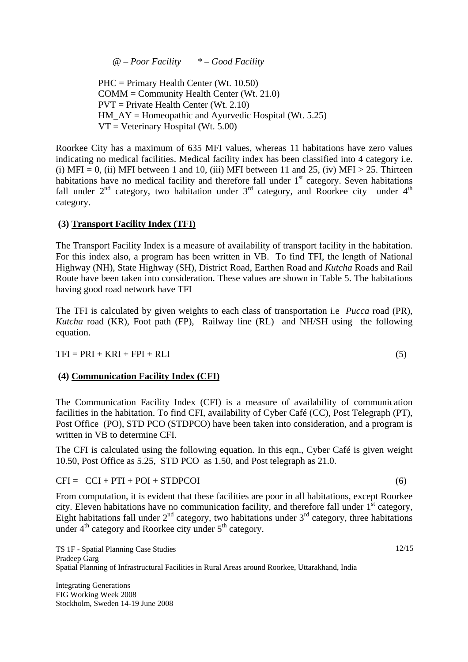*@ – Poor Facility \* – Good Facility* 

 PHC = Primary Health Center (Wt. 10.50) COMM = Community Health Center (Wt. 21.0) PVT = Private Health Center (Wt. 2.10) HM  $AY =$  Homeopathic and Ayurvedic Hospital (Wt. 5.25)  $VT = Vectorinary Hospital (Wt. 5.00)$ 

Roorkee City has a maximum of 635 MFI values, whereas 11 habitations have zero values indicating no medical facilities. Medical facility index has been classified into 4 category i.e. (i) MFI = 0, (ii) MFI between 1 and 10, (iii) MFI between 11 and 25, (iv) MFI > 25. Thirteen habitations have no medical facility and therefore fall under 1<sup>st</sup> category. Seven habitations fall under  $2<sup>nd</sup>$  category, two habitation under  $3<sup>rd</sup>$  category, and Roorkee city under  $4<sup>th</sup>$ category.

### **(3) Transport Facility Index (TFI)**

The Transport Facility Index is a measure of availability of transport facility in the habitation. For this index also, a program has been written in VB. To find TFI, the length of National Highway (NH), State Highway (SH), District Road, Earthen Road and *Kutcha* Roads and Rail Route have been taken into consideration. These values are shown in Table 5. The habitations having good road network have TFI

The TFI is calculated by given weights to each class of transportation i.e *Pucca* road (PR), *Kutcha* road (KR), Foot path (FP), Railway line (RL) and NH/SH using the following equation.

 $TFI = PRI + KRI + FPI + RLI$  (5)

## **(4) Communication Facility Index (CFI)**

The Communication Facility Index (CFI) is a measure of availability of communication facilities in the habitation. To find CFI, availability of Cyber Café (CC), Post Telegraph (PT), Post Office (PO), STD PCO (STDPCO) have been taken into consideration, and a program is written in VB to determine CFI.

The CFI is calculated using the following equation. In this eqn., Cyber Café is given weight 10.50, Post Office as 5.25, STD PCO as 1.50, and Post telegraph as 21.0.

 $CFI = CCI + PTI + POI + STDPCOI$  (6)

From computation, it is evident that these facilities are poor in all habitations, except Roorkee city. Eleven habitations have no communication facility, and therefore fall under  $1<sup>st</sup>$  category, Eight habitations fall under  $2<sup>nd</sup>$  category, two habitations under  $3<sup>rd</sup>$  category, three habitations under  $4<sup>th</sup>$  category and Roorkee city under  $5<sup>th</sup>$  category.

 $\sqrt{12/15}$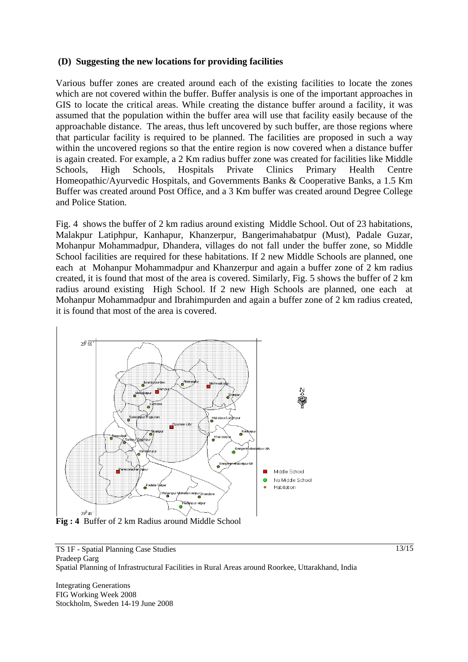### **(D) Suggesting the new locations for providing facilities**

Various buffer zones are created around each of the existing facilities to locate the zones which are not covered within the buffer. Buffer analysis is one of the important approaches in GIS to locate the critical areas. While creating the distance buffer around a facility, it was assumed that the population within the buffer area will use that facility easily because of the approachable distance. The areas, thus left uncovered by such buffer, are those regions where that particular facility is required to be planned. The facilities are proposed in such a way within the uncovered regions so that the entire region is now covered when a distance buffer is again created. For example, a 2 Km radius buffer zone was created for facilities like Middle Schools, High Schools, Hospitals Private Clinics Primary Health Centre Homeopathic/Ayurvedic Hospitals, and Governments Banks & Cooperative Banks, a 1.5 Km Buffer was created around Post Office, and a 3 Km buffer was created around Degree College and Police Station.

Fig. 4shows the buffer of 2 km radius around existing Middle School. Out of 23 habitations, Malakpur Latiphpur, Kanhapur, Khanzerpur, Bangerimahabatpur (Must), Padale Guzar, Mohanpur Mohammadpur, Dhandera, villages do not fall under the buffer zone, so Middle School facilities are required for these habitations. If 2 new Middle Schools are planned, one each at Mohanpur Mohammadpur and Khanzerpur and again a buffer zone of 2 km radius created, it is found that most of the area is covered. Similarly, Fig. 5 shows the buffer of 2 km radius around existing High School. If 2 new High Schools are planned, one each at Mohanpur Mohammadpur and Ibrahimpurden and again a buffer zone of 2 km radius created, it is found that most of the area is covered.



**Fig : 4** Buffer of 2 km Radius around Middle School

TS 1F - Spatial Planning Case Studies Pradeep Garg Spatial Planning of Infrastructural Facilities in Rural Areas around Roorkee, Uttarakhand, India

Integrating Generations FIG Working Week 2008 Stockholm, Sweden 14-19 June 2008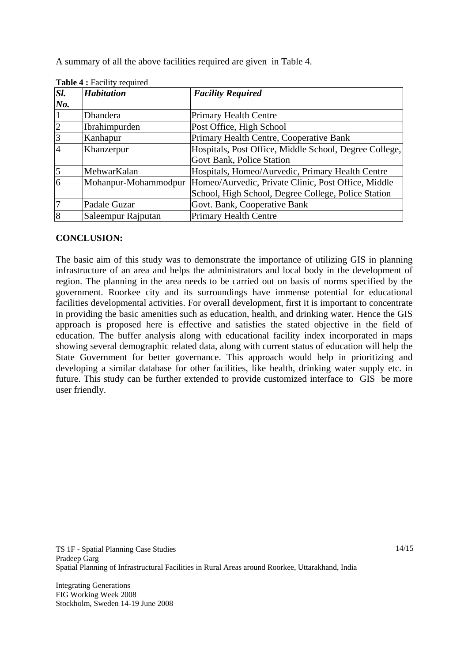A summary of all the above facilities required are given in Table 4.

| Sl.            | <b>Habitation</b>    | <b>Facility Required</b>                               |  |
|----------------|----------------------|--------------------------------------------------------|--|
| $N_{0}$ .      |                      |                                                        |  |
|                | Dhandera             | <b>Primary Health Centre</b>                           |  |
| 2              | Ibrahimpurden        | Post Office, High School                               |  |
| $\overline{3}$ | Kanhapur             | Primary Health Centre, Cooperative Bank                |  |
| $\overline{4}$ | Khanzerpur           | Hospitals, Post Office, Middle School, Degree College, |  |
|                |                      | Govt Bank, Police Station                              |  |
| $\vert$ 5      | MehwarKalan          | Hospitals, Homeo/Aurvedic, Primary Health Centre       |  |
| $\overline{6}$ | Mohanpur-Mohammodpur | Homeo/Aurvedic, Private Clinic, Post Office, Middle    |  |
|                |                      | School, High School, Degree College, Police Station    |  |
|                | Padale Guzar         | Govt. Bank, Cooperative Bank                           |  |
| 8              | Saleempur Rajputan   | <b>Primary Health Centre</b>                           |  |

|  | Table 4 : Facility required |  |
|--|-----------------------------|--|
|--|-----------------------------|--|

## **CONCLUSION:**

The basic aim of this study was to demonstrate the importance of utilizing GIS in planning infrastructure of an area and helps the administrators and local body in the development of region. The planning in the area needs to be carried out on basis of norms specified by the government. Roorkee city and its surroundings have immense potential for educational facilities developmental activities. For overall development, first it is important to concentrate in providing the basic amenities such as education, health, and drinking water. Hence the GIS approach is proposed here is effective and satisfies the stated objective in the field of education. The buffer analysis along with educational facility index incorporated in maps showing several demographic related data, along with current status of education will help the State Government for better governance. This approach would help in prioritizing and developing a similar database for other facilities, like health, drinking water supply etc. in future. This study can be further extended to provide customized interface to GIS be more user friendly.